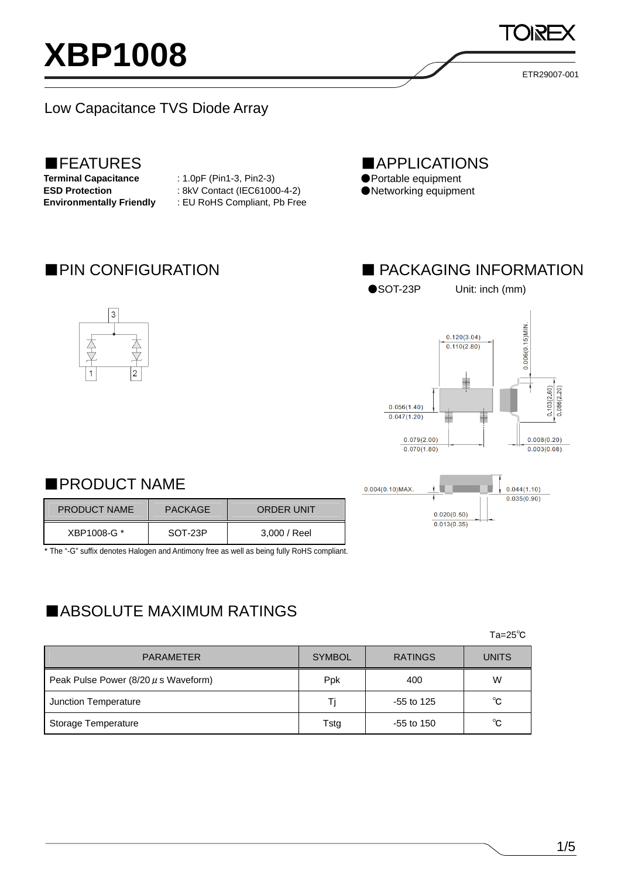# **XBP1008**

ETR29007-001

### Low Capacitance TVS Diode Array

## **EXPLATURES**<br>Terminal Capacitance

**Terminal Capacitance** : 1.0pF (Pin1-3, Pin2-3) **ESD Protection** : 8kV Contact (IEC61000-4-2) **Environmentally Friendly** : EU RoHS Compliant, Pb Free ■APPLICATIONS ●Portable equipment

●Networking equipment

소

 $\overline{3}$ 

支





●SOT-23P Unit: inch (mm)





### ■PRODUCT NAME

| <b>PRODUCT NAME</b> | <b>PACKAGE</b> | <b>ORDER UNIT</b> |  |
|---------------------|----------------|-------------------|--|
| XBP1008-G *         | SOT-23P        | 3,000 / Reel      |  |

\* The "-G" suffix denotes Halogen and Antimony free as well as being fully RoHS compliant.

## ■ABSOLUTE MAXIMUM RATINGS

 $\mathsf{Ta}=\mathsf{25^{\circ}C}$ 

| <b>PARAMETER</b>                         | <b>SYMBOL</b> | <b>RATINGS</b> | <b>UNITS</b> |
|------------------------------------------|---------------|----------------|--------------|
| Peak Pulse Power $(8/20 \mu s$ Waveform) | Ppk           | 400            | W            |
| Junction Temperature                     | Ti            | $-55$ to 125   | °C           |
| Storage Temperature                      | Tstg          | $-55$ to 150   | °C           |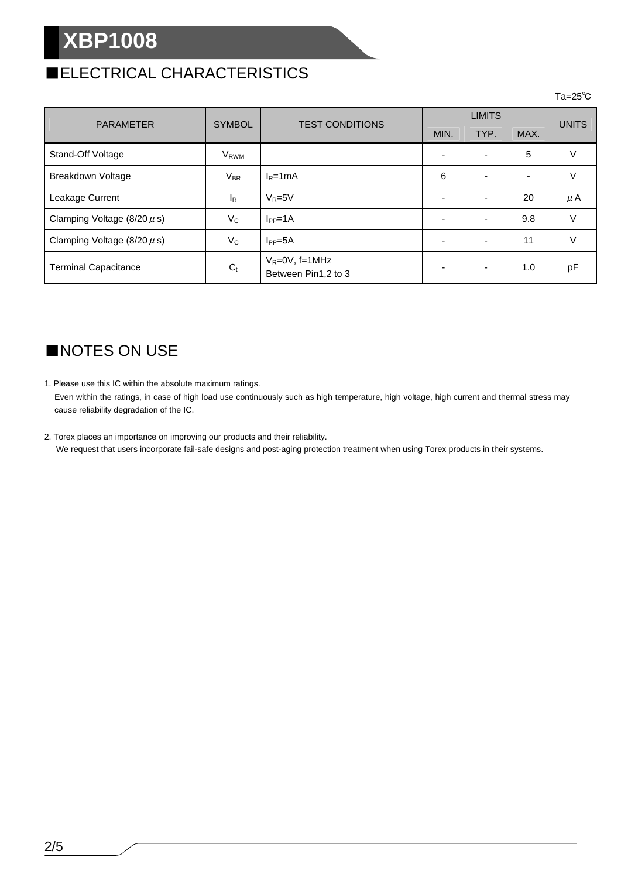## **XBP1008**

## ■ELECTRICAL CHARACTERISTICS

#### $\mathsf{Ta}\texttt{=}25^\circ \mathsf{C}$

|                                 | <b>SYMBOL</b>          | <b>TEST CONDITIONS</b>                     | <b>LIMITS</b> |      |                          |              |
|---------------------------------|------------------------|--------------------------------------------|---------------|------|--------------------------|--------------|
| <b>PARAMETER</b>                |                        |                                            | MIN.          | TYP. | MAX.                     | <b>UNITS</b> |
| Stand-Off Voltage               | <b>V<sub>RWM</sub></b> |                                            |               |      | 5                        |              |
| Breakdown Voltage               | $V_{\sf BR}$           | $I_R = 1mA$                                | 6             |      | $\overline{\phantom{a}}$ | V            |
| Leakage Current                 | $I_R$                  | $V_R = 5V$                                 |               |      | 20                       | $\mu$ A      |
| Clamping Voltage $(8/20 \mu s)$ | $V_C$                  | $I_{PP} = 1A$                              |               |      | 9.8                      | $\vee$       |
| Clamping Voltage $(8/20 \mu s)$ | $V_C$                  | $I_{PP} = 5A$                              |               |      | 11                       |              |
| <b>Terminal Capacitance</b>     | $C_{t}$                | $V_R = 0V$ , f=1MHz<br>Between Pin1,2 to 3 |               |      | 1.0                      | рF           |

## ■NOTES ON USE

1. Please use this IC within the absolute maximum ratings.

Even within the ratings, in case of high load use continuously such as high temperature, high voltage, high current and thermal stress may cause reliability degradation of the IC.

2. Torex places an importance on improving our products and their reliability. We request that users incorporate fail-safe designs and post-aging protection treatment when using Torex products in their systems.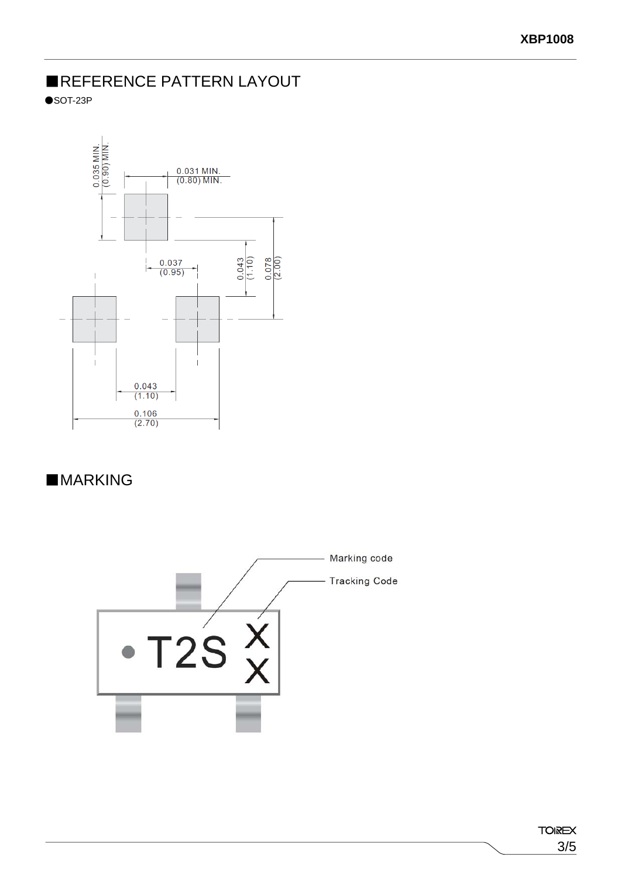## ■REFERENCE PATTERN LAYOUT

 $\bullet$ SOT-23P



## ■**MARKING**

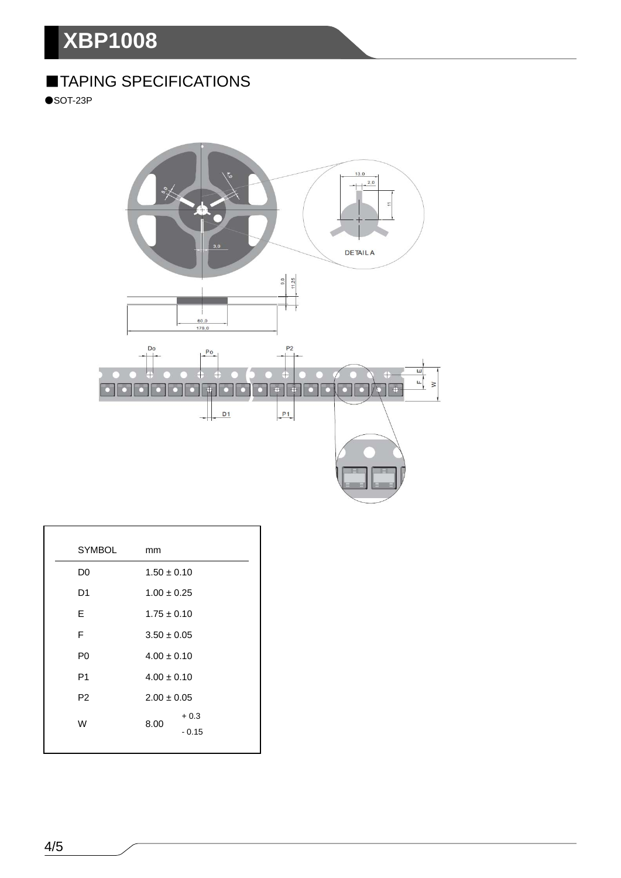## **XBP1008**

## ■TAPING SPECIFICATIONS

 $\bullet$ SOT-23P



| <b>SYMBOL</b>  | mm                        |  |
|----------------|---------------------------|--|
| D <sub>0</sub> | $1.50 \pm 0.10$           |  |
| D <sub>1</sub> | $1.00 \pm 0.25$           |  |
| E.             | $1.75 \pm 0.10$           |  |
| F              | $3.50 \pm 0.05$           |  |
| P <sub>0</sub> | $4.00 \pm 0.10$           |  |
| P1             | $4.00 \pm 0.10$           |  |
| P <sub>2</sub> | $2.00 \pm 0.05$           |  |
| W              | $+0.3$<br>8.00<br>$-0.15$ |  |
|                |                           |  |